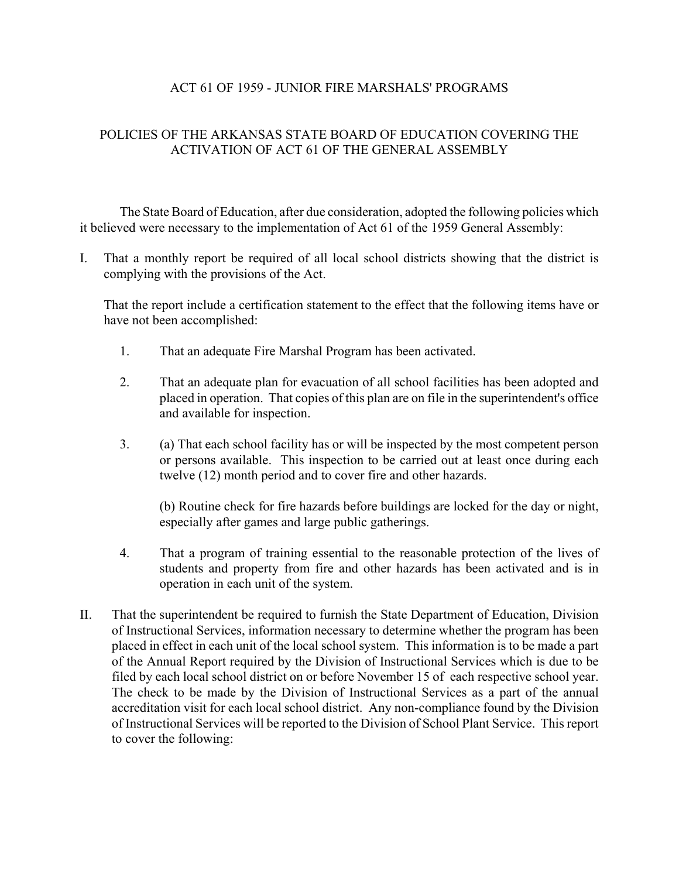## ACT 61 OF 1959 - JUNIOR FIRE MARSHALS' PROGRAMS

## POLICIES OF THE ARKANSAS STATE BOARD OF EDUCATION COVERING THE ACTIVATION OF ACT 61 OF THE GENERAL ASSEMBLY

The State Board of Education, after due consideration, adopted the following policies which it believed were necessary to the implementation of Act 61 of the 1959 General Assembly:

I. That a monthly report be required of all local school districts showing that the district is complying with the provisions of the Act.

That the report include a certification statement to the effect that the following items have or have not been accomplished:

- 1. That an adequate Fire Marshal Program has been activated.
- 2. That an adequate plan for evacuation of all school facilities has been adopted and placed in operation. That copies of this plan are on file in the superintendent's office and available for inspection.
- 3. (a) That each school facility has or will be inspected by the most competent person or persons available. This inspection to be carried out at least once during each twelve (12) month period and to cover fire and other hazards.

(b) Routine check for fire hazards before buildings are locked for the day or night, especially after games and large public gatherings.

- 4. That a program of training essential to the reasonable protection of the lives of students and property from fire and other hazards has been activated and is in operation in each unit of the system.
- II. That the superintendent be required to furnish the State Department of Education, Division of Instructional Services, information necessary to determine whether the program has been placed in effect in each unit of the local school system. This information is to be made a part of the Annual Report required by the Division of Instructional Services which is due to be filed by each local school district on or before November 15 of each respective school year. The check to be made by the Division of Instructional Services as a part of the annual accreditation visit for each local school district. Any non-compliance found by the Division of Instructional Services will be reported to the Division of School Plant Service. This report to cover the following: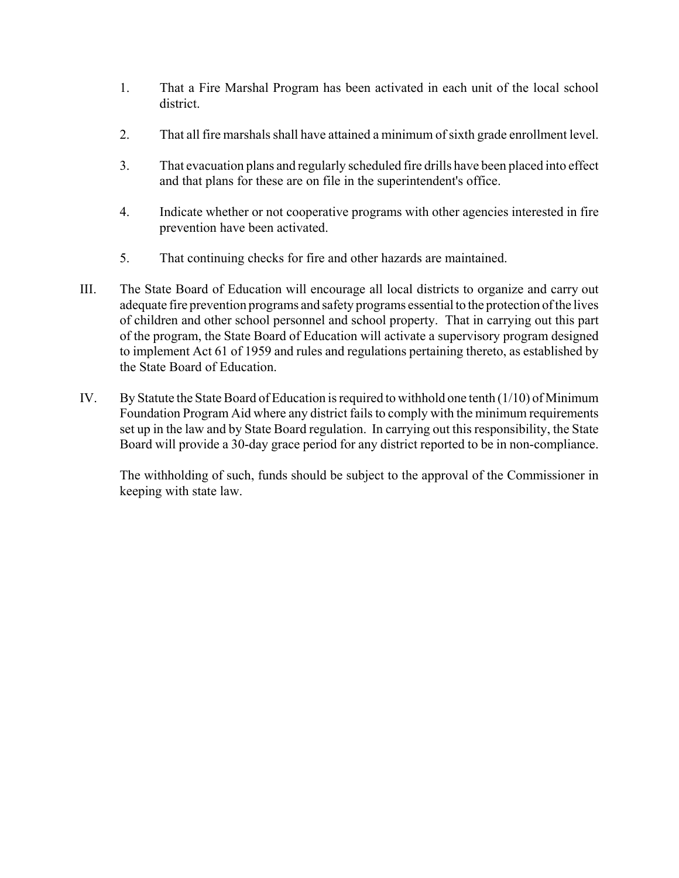- 1. That a Fire Marshal Program has been activated in each unit of the local school district.
- 2. That all fire marshals shall have attained a minimum of sixth grade enrollment level.
- 3. That evacuation plans and regularly scheduled fire drills have been placed into effect and that plans for these are on file in the superintendent's office.
- 4. Indicate whether or not cooperative programs with other agencies interested in fire prevention have been activated.
- 5. That continuing checks for fire and other hazards are maintained.
- III. The State Board of Education will encourage all local districts to organize and carry out adequate fire prevention programs and safety programs essential to the protection of the lives of children and other school personnel and school property. That in carrying out this part of the program, the State Board of Education will activate a supervisory program designed to implement Act 61 of 1959 and rules and regulations pertaining thereto, as established by the State Board of Education.
- IV. By Statute the State Board of Education is required to withhold one tenth (1/10) of Minimum Foundation Program Aid where any district fails to comply with the minimum requirements set up in the law and by State Board regulation. In carrying out this responsibility, the State Board will provide a 30-day grace period for any district reported to be in non-compliance.

The withholding of such, funds should be subject to the approval of the Commissioner in keeping with state law.